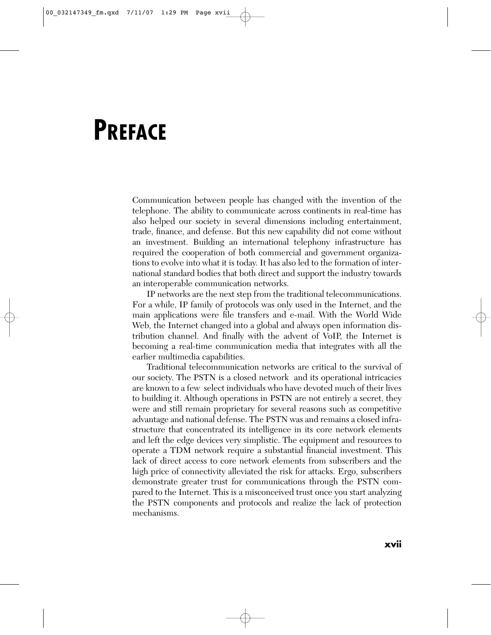## **PREFACE**

Communication between people has changed with the invention of the telephone. The ability to communicate across continents in real-time has also helped our society in several dimensions including entertainment, trade, finance, and defense. But this new capability did not come without an investment. Building an international telephony infrastructure has required the cooperation of both commercial and government organizations to evolve into what it is today. It has also led to the formation of international standard bodies that both direct and support the industry towards an interoperable communication networks.

IP networks are the next step from the traditional telecommunications. For a while, IP family of protocols was only used in the Internet, and the main applications were file transfers and e-mail. With the World Wide Web, the Internet changed into a global and always open information distribution channel. And finally with the advent of VoIP, the Internet is becoming a real-time communication media that integrates with all the earlier multimedia capabilities.

Traditional telecommunication networks are critical to the survival of our society. The PSTN is a closed network and its operational intricacies are known to a few select individuals who have devoted much of their lives to building it. Although operations in PSTN are not entirely a secret, they were and still remain proprietary for several reasons such as competitive advantage and national defense. The PSTN was and remains a closed infrastructure that concentrated its intelligence in its core network elements and left the edge devices very simplistic. The equipment and resources to operate a TDM network require a substantial financial investment. This lack of direct access to core network elements from subscribers and the high price of connectivity alleviated the risk for attacks. Ergo, subscribers demonstrate greater trust for communications through the PSTN compared to the Internet. This is a misconceived trust once you start analyzing the PSTN components and protocols and realize the lack of protection mechanisms.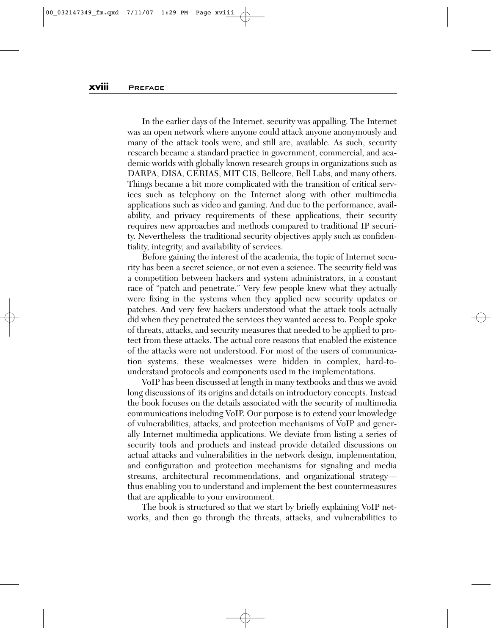In the earlier days of the Internet, security was appalling. The Internet was an open network where anyone could attack anyone anonymously and many of the attack tools were, and still are, available. As such, security research became a standard practice in government, commercial, and academic worlds with globally known research groups in organizations such as DARPA, DISA, CERIAS, MIT CIS, Bellcore, Bell Labs, and many others. Things became a bit more complicated with the transition of critical services such as telephony on the Internet along with other multimedia applications such as video and gaming. And due to the performance, availability, and privacy requirements of these applications, their security requires new approaches and methods compared to traditional IP security. Nevertheless the traditional security objectives apply such as confidentiality, integrity, and availability of services.

Before gaining the interest of the academia, the topic of Internet security has been a secret science, or not even a science. The security field was a competition between hackers and system administrators, in a constant race of "patch and penetrate." Very few people knew what they actually were fixing in the systems when they applied new security updates or patches. And very few hackers understood what the attack tools actually did when they penetrated the services they wanted access to. People spoke of threats, attacks, and security measures that needed to be applied to protect from these attacks. The actual core reasons that enabled the existence of the attacks were not understood. For most of the users of communication systems, these weaknesses were hidden in complex, hard-tounderstand protocols and components used in the implementations.

VoIP has been discussed at length in many textbooks and thus we avoid long discussions of its origins and details on introductory concepts. Instead the book focuses on the details associated with the security of multimedia communications including VoIP. Our purpose is to extend your knowledge of vulnerabilities, attacks, and protection mechanisms of VoIP and generally Internet multimedia applications. We deviate from listing a series of security tools and products and instead provide detailed discussions on actual attacks and vulnerabilities in the network design, implementation, and configuration and protection mechanisms for signaling and media streams, architectural recommendations, and organizational strategy thus enabling you to understand and implement the best countermeasures that are applicable to your environment.

The book is structured so that we start by briefly explaining VoIP networks, and then go through the threats, attacks, and vulnerabilities to